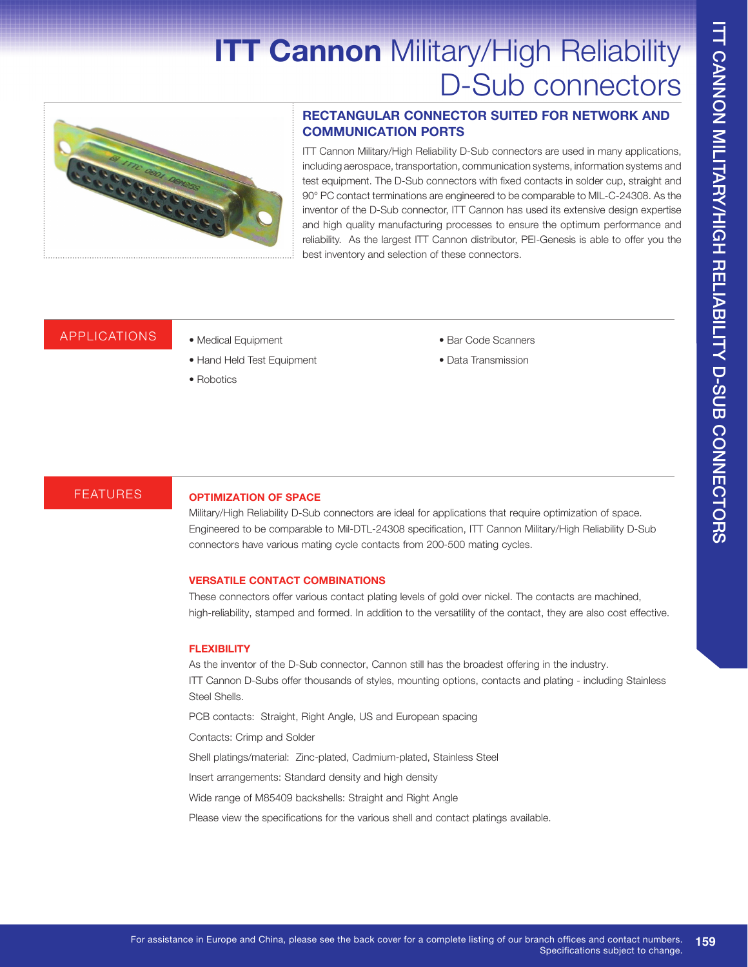# **ITT Cannon Military/High Reliability** D-Sub connectors



#### **RECTANGULAR CONNECTOR SUITED FOR NETWORK AND COMMUNICATION PORTS**

ITT Cannon Military/High Reliability D-Sub connectors are used in many applications, including aerospace, transportation, communication systems, information systems and test equipment. The D-Sub connectors with fixed contacts in solder cup, straight and 90° PC contact terminations are engineered to be comparable to MIL-C-24308. As the inventor of the D-Sub connector, ITT Cannon has used its extensive design expertise and high quality manufacturing processes to ensure the optimum performance and reliability. As the largest ITT Cannon distributor, PEI-Genesis is able to offer you the best inventory and selection of these connectors.

# APPLICATIONS • Medical Equipment

- 
- Hand Held Test Equipment
- Robotics
- Bar Code Scanners
- Data Transmission

### FEATURES **OPTIMIZATION OF SPACE**

Military/High Reliability D-Sub connectors are ideal for applications that require optimization of space. Engineered to be comparable to Mil-DTL-24308 specification, ITT Cannon Military/High Reliability D-Sub connectors have various mating cycle contacts from 200-500 mating cycles.

#### **VERSATILE CONTACT COMBINATIONS**

These connectors offer various contact plating levels of gold over nickel. The contacts are machined, high-reliability, stamped and formed. In addition to the versatility of the contact, they are also cost effective.

#### **FLEXIBILITY**

As the inventor of the D-Sub connector, Cannon still has the broadest offering in the industry. ITT Cannon D-Subs offer thousands of styles, mounting options, contacts and plating - including Stainless Steel Shells.

PCB contacts: Straight, Right Angle, US and European spacing

Contacts: Crimp and Solder

Shell platings/material: Zinc-plated, Cadmium-plated, Stainless Steel

Insert arrangements: Standard density and high density

Wide range of M85409 backshells: Straight and Right Angle

Please view the specifications for the various shell and contact platings available.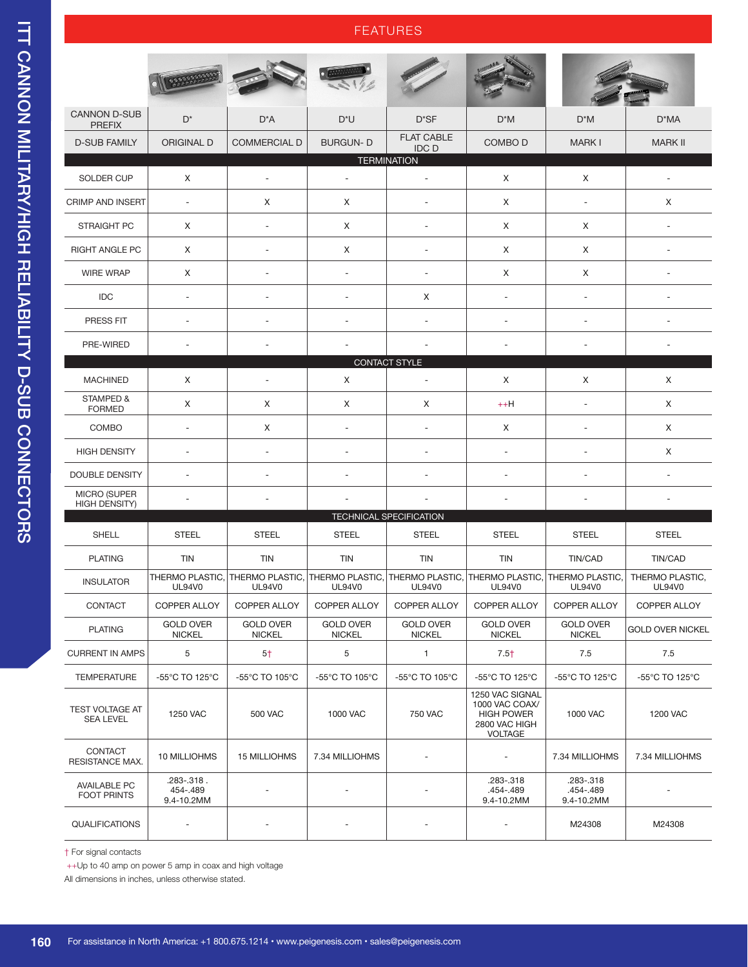#### FEATURES

|                                             | 000000                               |                                   |                                         |                                         |                                                                                           |                                      |                                  |  |  |  |  |  |
|---------------------------------------------|--------------------------------------|-----------------------------------|-----------------------------------------|-----------------------------------------|-------------------------------------------------------------------------------------------|--------------------------------------|----------------------------------|--|--|--|--|--|
| <b>CANNON D-SUB</b>                         | $D^*$                                | $D^*A$                            | $D^*U$                                  | $D^*SF$                                 | $D^*M$                                                                                    | $D^*M$                               | D*MA                             |  |  |  |  |  |
| <b>PREFIX</b><br><b>D-SUB FAMILY</b>        | <b>ORIGINAL D</b>                    | <b>COMMERCIAL D</b>               | <b>BURGUN-D</b>                         | <b>FLAT CABLE</b><br><b>IDC D</b>       | COMBO D                                                                                   | <b>MARK I</b>                        | <b>MARK II</b>                   |  |  |  |  |  |
| <b>TERMINATION</b>                          |                                      |                                   |                                         |                                         |                                                                                           |                                      |                                  |  |  |  |  |  |
| <b>SOLDER CUP</b>                           | Χ                                    | $\overline{\phantom{a}}$          | $\overline{\phantom{a}}$                | $\overline{a}$                          | Χ                                                                                         | X                                    | $\overline{a}$                   |  |  |  |  |  |
| <b>CRIMP AND INSERT</b>                     | $\overline{\phantom{a}}$             | Χ                                 | Χ                                       | $\overline{a}$                          | Χ                                                                                         | $\overline{\phantom{a}}$             | X                                |  |  |  |  |  |
| <b>STRAIGHT PC</b>                          | Χ                                    | ÷,                                | Χ                                       | $\overline{\phantom{a}}$                | X                                                                                         | X                                    | ÷,                               |  |  |  |  |  |
| <b>RIGHT ANGLE PC</b>                       | Χ                                    | $\overline{\phantom{a}}$          | X                                       | $\overline{\phantom{a}}$                | Χ                                                                                         | X                                    | ä,                               |  |  |  |  |  |
| <b>WIRE WRAP</b>                            | Χ                                    | $\sim$                            | ÷.                                      | $\overline{\phantom{a}}$                | X                                                                                         | X                                    | ä,                               |  |  |  |  |  |
| <b>IDC</b>                                  | $\overline{\phantom{a}}$             | $\overline{\phantom{a}}$          | ÷.                                      | Χ                                       | $\overline{\phantom{a}}$                                                                  | $\overline{\phantom{a}}$             | $\blacksquare$                   |  |  |  |  |  |
| PRESS FIT                                   | $\sim$                               | ÷.                                | ÷.                                      | $\overline{a}$                          | ÷                                                                                         | ÷.                                   | $\sim$                           |  |  |  |  |  |
| PRE-WIRED                                   | $\sim$                               |                                   |                                         |                                         | ٠                                                                                         |                                      |                                  |  |  |  |  |  |
|                                             |                                      |                                   |                                         | CONTACT STYLE                           |                                                                                           |                                      |                                  |  |  |  |  |  |
| <b>MACHINED</b>                             | Χ                                    |                                   | X                                       | $\overline{a}$                          | X                                                                                         | X                                    | X                                |  |  |  |  |  |
| STAMPED &<br><b>FORMED</b>                  | Χ                                    | X                                 | Χ                                       | Χ                                       | $++H$                                                                                     | $\overline{\phantom{a}}$             | X                                |  |  |  |  |  |
| COMBO                                       | $\overline{\phantom{a}}$             | Χ                                 | $\overline{\phantom{a}}$                | $\overline{\phantom{a}}$                | X                                                                                         | $\overline{\phantom{a}}$             | X                                |  |  |  |  |  |
| <b>HIGH DENSITY</b>                         | $\overline{\phantom{a}}$             | $\sim$                            | ÷,                                      | $\overline{a}$                          | $\overline{\phantom{a}}$                                                                  | ÷,                                   | X                                |  |  |  |  |  |
| DOUBLE DENSITY                              | $\overline{\phantom{a}}$             | $\sim$                            |                                         |                                         | $\overline{\phantom{a}}$                                                                  | ÷,                                   | ÷,                               |  |  |  |  |  |
| <b>MICRO (SUPER</b><br><b>HIGH DENSITY)</b> | $\sim$                               |                                   |                                         |                                         | ä,                                                                                        | ÷,                                   |                                  |  |  |  |  |  |
|                                             |                                      |                                   |                                         | <b>TECHNICAL SPECIFICATION</b>          |                                                                                           |                                      |                                  |  |  |  |  |  |
| SHELL                                       | <b>STEEL</b>                         | <b>STEEL</b>                      | <b>STEEL</b>                            | <b>STEEL</b>                            | <b>STEEL</b>                                                                              | <b>STEEL</b>                         | <b>STEEL</b>                     |  |  |  |  |  |
| <b>PLATING</b>                              | <b>TIN</b>                           | TIN                               | TIN                                     | <b>TIN</b>                              | <b>TIN</b>                                                                                | TIN/CAD                              | TIN/CAD                          |  |  |  |  |  |
| <b>INSULATOR</b>                            | THERMO PLASTIC,<br><b>UL94V0</b>     | THERMO PLASTIC.<br><b>UL94V0</b>  | <b>THERMO PLASTIC.</b><br><b>UL94V0</b> | <b>THERMO PLASTIC,</b><br><b>UL94V0</b> | <b>THERMO PLASTIC.</b><br><b>UL94V0</b>                                                   | THERMO PLASTIC,<br><b>UL94V0</b>     | THERMO PLASTIC.<br><b>UL94V0</b> |  |  |  |  |  |
| CONTACT                                     | <b>COPPER ALLOY</b>                  | COPPER ALLOY                      | COPPER ALLOY                            | COPPER ALLOY                            | COPPER ALLOY                                                                              | COPPER ALLOY                         | COPPER ALLOY                     |  |  |  |  |  |
| <b>PLATING</b>                              | <b>GOLD OVER</b><br><b>NICKEL</b>    | <b>GOLD OVER</b><br><b>NICKEL</b> | <b>GOLD OVER</b><br><b>NICKEL</b>       | <b>GOLD OVER</b><br><b>NICKEL</b>       | <b>GOLD OVER</b><br><b>NICKEL</b>                                                         | <b>GOLD OVER</b><br><b>NICKEL</b>    | <b>GOLD OVER NICKEL</b>          |  |  |  |  |  |
| <b>CURRENT IN AMPS</b>                      | 5                                    | $5+$                              | 5                                       | $\mathbf{1}$                            | $7.5+$                                                                                    | 7.5                                  | 7.5                              |  |  |  |  |  |
| <b>TEMPERATURE</b>                          | -55°C TO 125°C                       | -55°C TO 105°C                    | -55°C TO 105°C                          | -55°C TO 105°C                          | -55°C TO 125°C                                                                            | -55°C TO 125°C                       | -55°C TO 125°C                   |  |  |  |  |  |
| <b>TEST VOLTAGE AT</b><br><b>SEA LEVEL</b>  | 1250 VAC                             | <b>500 VAC</b>                    | 1000 VAC                                | <b>750 VAC</b>                          | 1250 VAC SIGNAL<br>1000 VAC COAX/<br><b>HIGH POWER</b><br>2800 VAC HIGH<br><b>VOLTAGE</b> | 1000 VAC                             | 1200 VAC                         |  |  |  |  |  |
| <b>CONTACT</b><br>RESISTANCE MAX.           | 10 MILLIOHMS                         | 15 MILLIOHMS                      | 7.34 MILLIOHMS                          |                                         |                                                                                           | 7.34 MILLIOHMS                       | 7.34 MILLIOHMS                   |  |  |  |  |  |
| <b>AVAILABLE PC</b><br><b>FOOT PRINTS</b>   | .283-.318.<br>454-.489<br>9.4-10.2MM |                                   |                                         |                                         | .283-.318<br>.454-.489<br>9.4-10.2MM                                                      | .283-.318<br>.454-.489<br>9.4-10.2MM |                                  |  |  |  |  |  |
| <b>QUALIFICATIONS</b>                       |                                      |                                   |                                         |                                         |                                                                                           | M24308                               | M24308                           |  |  |  |  |  |

† For signal contacts

++Up to 40 amp on power 5 amp in coax and high voltage

All dimensions in inches, unless otherwise stated.